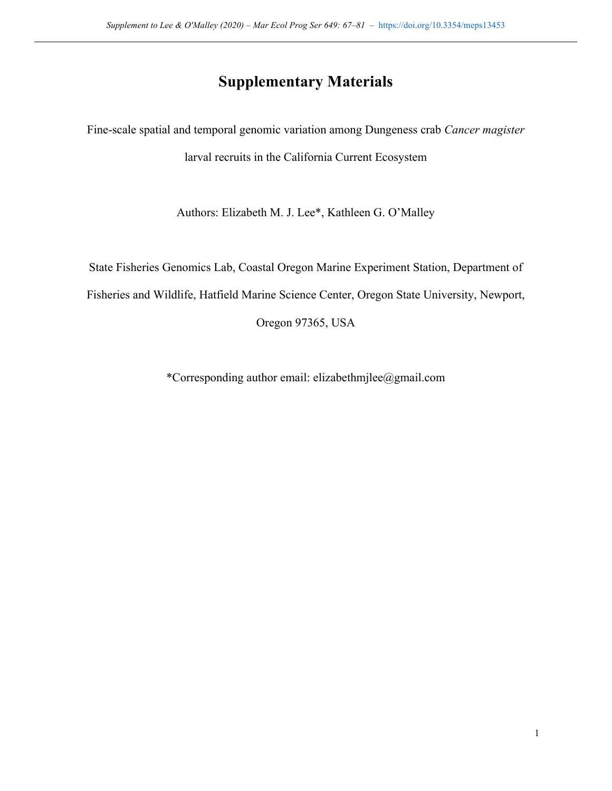# **Supplementary Materials**

Fine-scale spatial and temporal genomic variation among Dungeness crab *Cancer magister* larval recruits in the California Current Ecosystem

Authors: Elizabeth M. J. Lee\*, Kathleen G. O'Malley

State Fisheries Genomics Lab, Coastal Oregon Marine Experiment Station, Department of

Fisheries and Wildlife, Hatfield Marine Science Center, Oregon State University, Newport,

Oregon 97365, USA

\*Corresponding author email: elizabethmjlee@gmail.com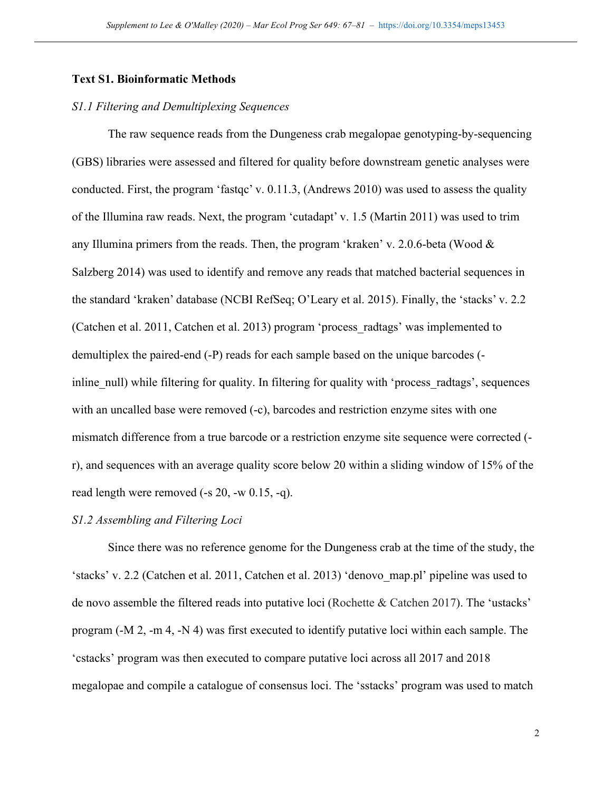#### **Text S1. Bioinformatic Methods**

#### *S1.1 Filtering and Demultiplexing Sequences*

The raw sequence reads from the Dungeness crab megalopae genotyping-by-sequencing (GBS) libraries were assessed and filtered for quality before downstream genetic analyses were conducted. First, the program 'fastqc' v. 0.11.3, (Andrews 2010) was used to assess the quality of the Illumina raw reads. Next, the program 'cutadapt' v. 1.5 (Martin 2011) was used to trim any Illumina primers from the reads. Then, the program 'kraken' v. 2.0.6-beta (Wood & Salzberg 2014) was used to identify and remove any reads that matched bacterial sequences in the standard 'kraken' database (NCBI RefSeq; O'Leary et al. 2015). Finally, the 'stacks' v. 2.2 (Catchen et al. 2011, Catchen et al. 2013) program 'process\_radtags' was implemented to demultiplex the paired-end (-P) reads for each sample based on the unique barcodes ( inline null) while filtering for quality. In filtering for quality with 'process radtags', sequences with an uncalled base were removed (-c), barcodes and restriction enzyme sites with one mismatch difference from a true barcode or a restriction enzyme site sequence were corrected ( r), and sequences with an average quality score below 20 within a sliding window of 15% of the read length were removed (-s 20, -w 0.15, -q).

#### *S1.2 Assembling and Filtering Loci*

Since there was no reference genome for the Dungeness crab at the time of the study, the 'stacks' v. 2.2 (Catchen et al. 2011, Catchen et al. 2013) 'denovo\_map.pl' pipeline was used to de novo assemble the filtered reads into putative loci (Rochette & Catchen 2017). The 'ustacks' program (-M 2, -m 4, -N 4) was first executed to identify putative loci within each sample. The 'cstacks' program was then executed to compare putative loci across all 2017 and 2018 megalopae and compile a catalogue of consensus loci. The 'sstacks' program was used to match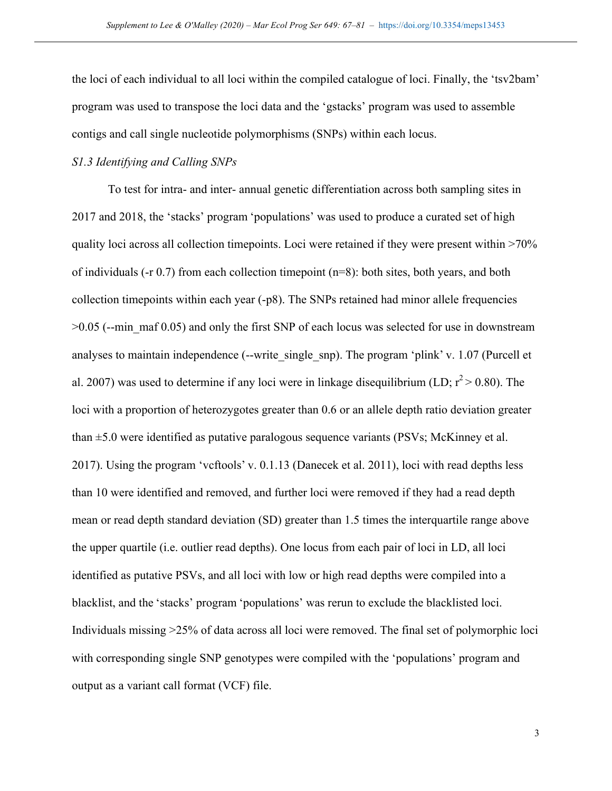the loci of each individual to all loci within the compiled catalogue of loci. Finally, the 'tsv2bam' program was used to transpose the loci data and the 'gstacks' program was used to assemble contigs and call single nucleotide polymorphisms (SNPs) within each locus.

## *S1.3 Identifying and Calling SNPs*

To test for intra- and inter- annual genetic differentiation across both sampling sites in 2017 and 2018, the 'stacks' program 'populations' was used to produce a curated set of high quality loci across all collection timepoints. Loci were retained if they were present within >70% of individuals ( $-$ r 0.7) from each collection timepoint ( $n=8$ ): both sites, both years, and both collection timepoints within each year (-p8). The SNPs retained had minor allele frequencies  $>0.05$  (--min maf 0.05) and only the first SNP of each locus was selected for use in downstream analyses to maintain independence (--write single snp). The program 'plink' v. 1.07 (Purcell et al. 2007) was used to determine if any loci were in linkage disequilibrium (LD;  $r^2 > 0.80$ ). The loci with a proportion of heterozygotes greater than 0.6 or an allele depth ratio deviation greater than  $\pm$ 5.0 were identified as putative paralogous sequence variants (PSVs; McKinney et al. 2017). Using the program 'vcftools' v. 0.1.13 (Danecek et al. 2011), loci with read depths less than 10 were identified and removed, and further loci were removed if they had a read depth mean or read depth standard deviation (SD) greater than 1.5 times the interquartile range above the upper quartile (i.e. outlier read depths). One locus from each pair of loci in LD, all loci identified as putative PSVs, and all loci with low or high read depths were compiled into a blacklist, and the 'stacks' program 'populations' was rerun to exclude the blacklisted loci. Individuals missing >25% of data across all loci were removed. The final set of polymorphic loci with corresponding single SNP genotypes were compiled with the 'populations' program and output as a variant call format (VCF) file.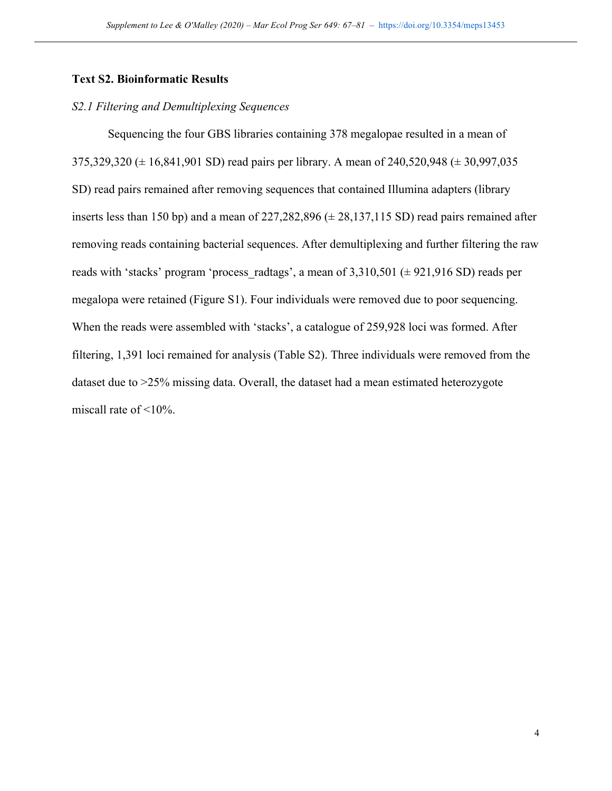#### **Text S2. Bioinformatic Results**

#### *S2.1 Filtering and Demultiplexing Sequences*

Sequencing the four GBS libraries containing 378 megalopae resulted in a mean of 375,329,320 (± 16,841,901 SD) read pairs per library. A mean of 240,520,948 (± 30,997,035 SD) read pairs remained after removing sequences that contained Illumina adapters (library inserts less than 150 bp) and a mean of  $227,282,896 \ (\pm 28,137,115 \ SD)$  read pairs remained after removing reads containing bacterial sequences. After demultiplexing and further filtering the raw reads with 'stacks' program 'process radtags', a mean of  $3,310,501$  ( $\pm$  921,916 SD) reads per megalopa were retained (Figure S1). Four individuals were removed due to poor sequencing. When the reads were assembled with 'stacks', a catalogue of 259,928 loci was formed. After filtering, 1,391 loci remained for analysis (Table S2). Three individuals were removed from the dataset due to >25% missing data. Overall, the dataset had a mean estimated heterozygote miscall rate of <10%.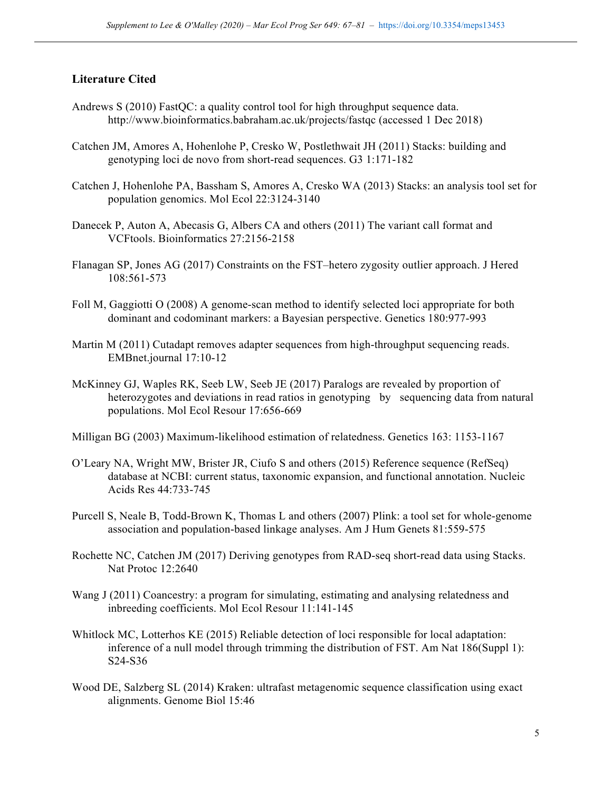## **Literature Cited**

- Andrews S (2010) FastQC: a quality control tool for high throughput sequence data. http://www.bioinformatics.babraham.ac.uk/projects/fastqc (accessed 1 Dec 2018)
- Catchen JM, Amores A, Hohenlohe P, Cresko W, Postlethwait JH (2011) Stacks: building and genotyping loci de novo from short-read sequences. G3 1:171-182
- Catchen J, Hohenlohe PA, Bassham S, Amores A, Cresko WA (2013) Stacks: an analysis tool set for population genomics. Mol Ecol 22:3124-3140
- Danecek P, Auton A, Abecasis G, Albers CA and others (2011) The variant call format and VCFtools. Bioinformatics 27:2156-2158
- Flanagan SP, Jones AG (2017) Constraints on the FST–hetero zygosity outlier approach. J Hered 108:561-573
- Foll M, Gaggiotti O (2008) A genome-scan method to identify selected loci appropriate for both dominant and codominant markers: a Bayesian perspective. Genetics 180:977-993
- Martin M (2011) Cutadapt removes adapter sequences from high-throughput sequencing reads. EMBnet.journal 17:10-12
- McKinney GJ, Waples RK, Seeb LW, Seeb JE (2017) Paralogs are revealed by proportion of heterozygotes and deviations in read ratios in genotyping by sequencing data from natural populations. Mol Ecol Resour 17:656-669
- Milligan BG (2003) Maximum-likelihood estimation of relatedness. Genetics 163: 1153-1167
- O'Leary NA, Wright MW, Brister JR, Ciufo S and others (2015) Reference sequence (RefSeq) database at NCBI: current status, taxonomic expansion, and functional annotation. Nucleic Acids Res 44:733-745
- Purcell S, Neale B, Todd-Brown K, Thomas L and others (2007) Plink: a tool set for whole-genome association and population-based linkage analyses. Am J Hum Genets 81:559-575
- Rochette NC, Catchen JM (2017) Deriving genotypes from RAD-seq short-read data using Stacks. Nat Protoc 12:2640
- Wang J (2011) Coancestry: a program for simulating, estimating and analysing relatedness and inbreeding coefficients. Mol Ecol Resour 11:141-145
- Whitlock MC, Lotterhos KE (2015) Reliable detection of loci responsible for local adaptation: inference of a null model through trimming the distribution of FST. Am Nat 186(Suppl 1): S24-S36
- Wood DE, Salzberg SL (2014) Kraken: ultrafast metagenomic sequence classification using exact alignments. Genome Biol 15:46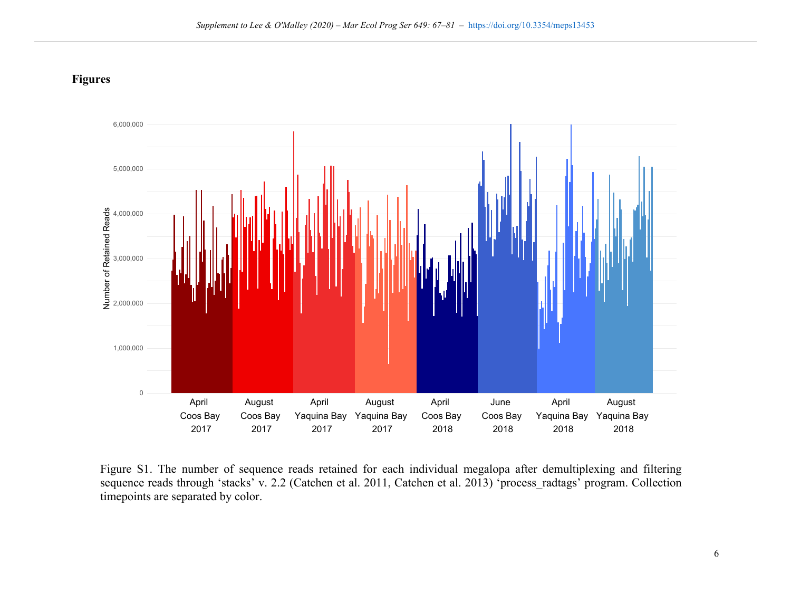



Figure S1. The number of sequence reads retained for each individual megalopa after demultiplexing and filtering sequence reads through 'stacks' v. 2.2 (Catchen et al. 2011, Catchen et al. 2013) 'process radtags' program. Collection timepoints are separated by color.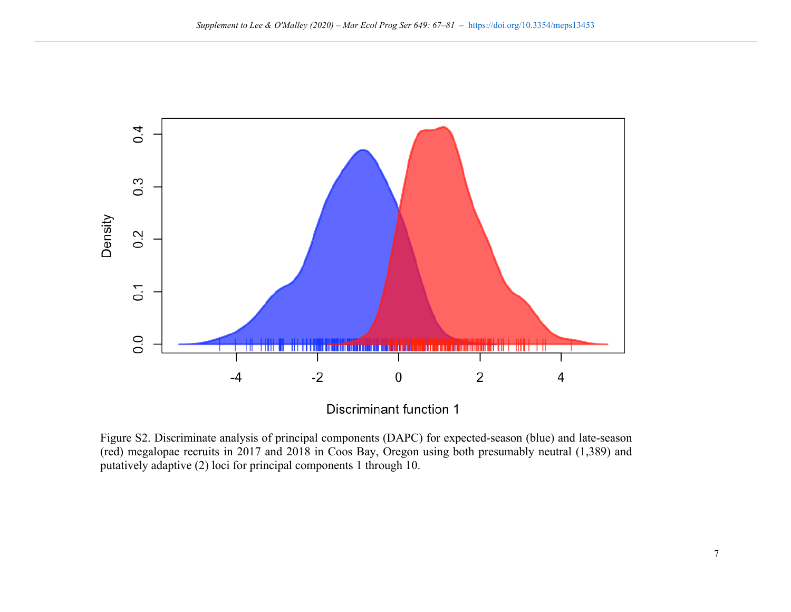

Discriminant function 1

Figure S2. Discriminate analysis of principal components (DAPC) for expected-season (blue) and late-season (red) megalopae recruits in 2017 and 2018 in Coos Bay, Oregon using both presumably neutral (1,389) and putatively adaptive (2) loci for principal components 1 through 10.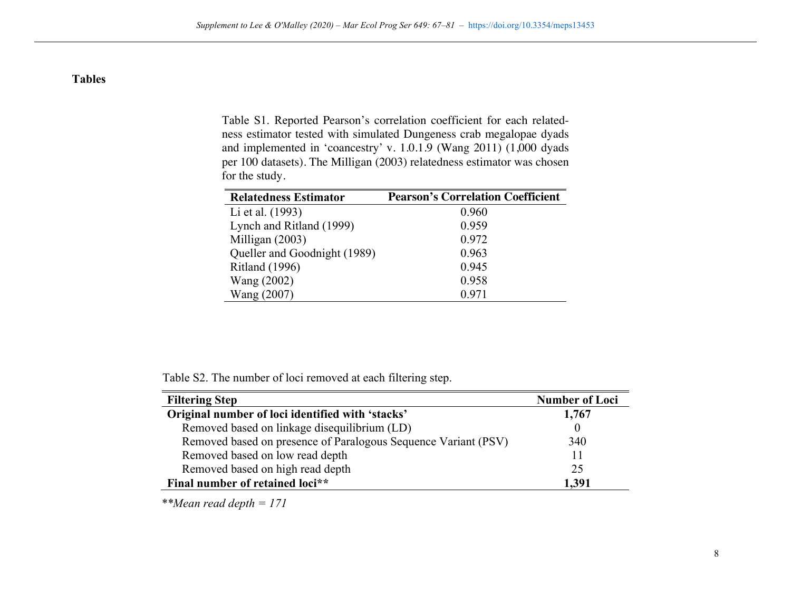# **Tables**

Table S1. Reported Pearson's correlation coefficient for each relatedness estimator tested with simulated Dungeness crab megalopae dyads and implemented in 'coancestry' v. 1.0.1.9 (Wang 2011) (1,000 dyads per 100 datasets). The Milligan (2003) relatedness estimator was chosen for the study.

| <b>Relatedness Estimator</b> | <b>Pearson's Correlation Coefficient</b> |
|------------------------------|------------------------------------------|
| Li et al. (1993)             | 0.960                                    |
| Lynch and Ritland (1999)     | 0.959                                    |
| Milligan $(2003)$            | 0.972                                    |
| Queller and Goodnight (1989) | 0.963                                    |
| <b>Ritland</b> (1996)        | 0.945                                    |
| Wang (2002)                  | 0.958                                    |
| Wang (2007)                  | 0.971                                    |

Table S2. The number of loci removed at each filtering step.

| <b>Filtering Step</b>                                          | <b>Number of Loci</b> |
|----------------------------------------------------------------|-----------------------|
| Original number of loci identified with 'stacks'               | 1,767                 |
| Removed based on linkage disequilibrium (LD)                   |                       |
| Removed based on presence of Paralogous Sequence Variant (PSV) | 340                   |
| Removed based on low read depth                                | 11                    |
| Removed based on high read depth                               | 25                    |
| Final number of retained loci**                                | 1,391                 |

*\*\*Mean read depth = 171*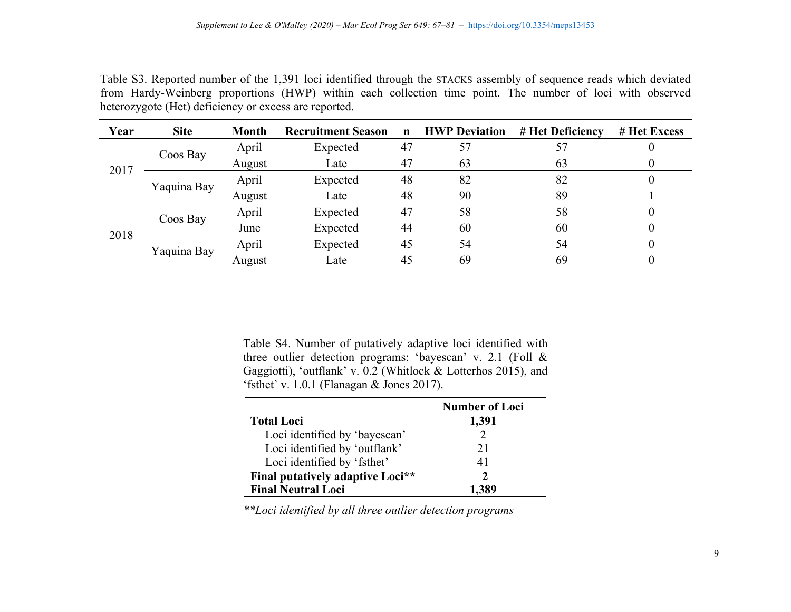|                                                       | Table S3. Reported number of the 1,391 loci identified through the STACKS assembly of sequence reads which deviated |  |  |  |  |  |  |  |  |  |  |  |  |
|-------------------------------------------------------|---------------------------------------------------------------------------------------------------------------------|--|--|--|--|--|--|--|--|--|--|--|--|
|                                                       | from Hardy-Weinberg proportions (HWP) within each collection time point. The number of loci with observed           |  |  |  |  |  |  |  |  |  |  |  |  |
| heterozygote (Het) deficiency or excess are reported. |                                                                                                                     |  |  |  |  |  |  |  |  |  |  |  |  |

| Year | <b>Site</b> | <b>Month</b> | <b>Recruitment Season</b> | $\mathbf n$ | <b>HWP Deviation</b> | # Het Deficiency | # Het Excess |
|------|-------------|--------------|---------------------------|-------------|----------------------|------------------|--------------|
| 2017 | Coos Bay    | April        | Expected                  | 47          | 57                   | 57               |              |
|      |             | August       | Late                      | 47          | 63                   | 63               |              |
|      | Yaquina Bay | April        | Expected                  | 48          | 82                   | 82               | U            |
|      |             | August       | Late                      | 48          | 90                   | 89               |              |
| 2018 | Coos Bay    | April        | Expected                  | 47          | 58                   | 58               |              |
|      |             | June         | Expected                  | 44          | 60                   | 60               |              |
|      | Yaquina Bay | April        | Expected                  | 45          | 54                   | 54               |              |
|      |             | August       | Late                      | 45          | 69                   | 69               |              |

Table S4. Number of putatively adaptive loci identified with three outlier detection programs: 'bayescan' v. 2.1 (Foll & Gaggiotti), 'outflank' v. 0.2 (Whitlock & Lotterhos 2015), and 'fsthet' v. 1.0.1 (Flanagan & Jones 2017).

|                                  | <b>Number of Loci</b> |
|----------------------------------|-----------------------|
| <b>Total Loci</b>                | 1,391                 |
| Loci identified by 'bayescan'    |                       |
| Loci identified by 'outflank'    | 21                    |
| Loci identified by 'fsthet'      | 41                    |
| Final putatively adaptive Loci** |                       |
| <b>Final Neutral Loci</b>        |                       |

*\*\*Loci identified by all three outlier detection programs*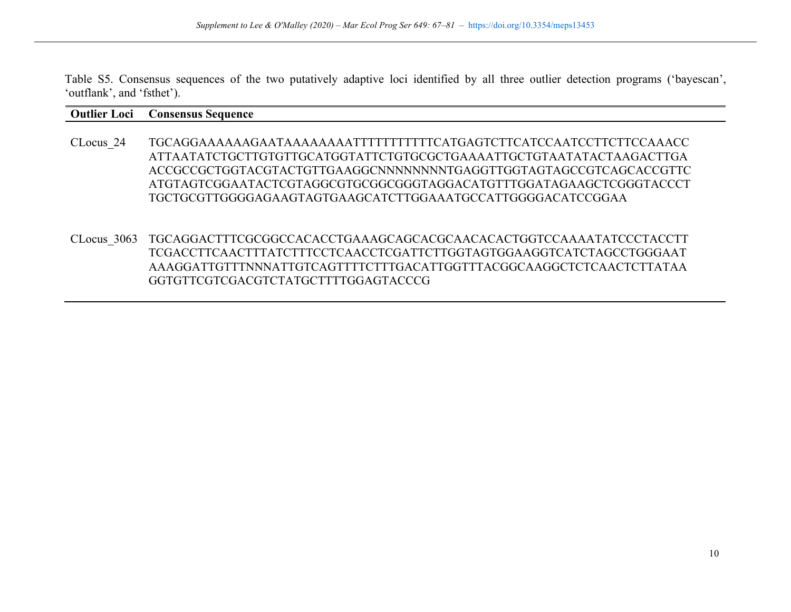Table S5. Consensus sequences of the two putatively adaptive loci identified by all three outlier detection programs ('bayescan', 'outflank', and 'fsthet').

#### **Outlier Loci Consensus Sequence**

- CLocus\_24 TGCAGGAAAAAAGAATAAAAAAAATTTTTTTTTTTCATGAGTCTTCATCCAATCCTTCTTCCAAACC ATTAATATCTGCTTGTGTTGCATGGTATTCTGTGCGCTGAAAATTGCTGTAATATACTAAGACTTGA ACCGCCGCTGGTACGTACTGTTGAAGGCNNNNNNNNTGAGGTTGGTAGTAGCCGTCAGCACCGTTC ATGTAGTCGGAATACTCGTAGGCGTGCGGCGGGTAGGACATGTTTGGATAGAAGCTCGGGTACCCT TGCTGCGTTGGGGAGAAGTAGTGAAGCATCTTGGAAATGCCATTGGGGACATCCGGAA
- CLocus\_3063 TGCAGGACTTTCGCGGCCACACCTGAAAGCAGCACGCAACACACTGGTCCAAAATATCCCTACCTT TCGACCTTCAACTTTATCTTTCCTCAACCTCGATTCTTGGTAGTGGAAGGTCATCTAGCCTGGGAAT AAAGGATTGTTTNNNATTGTCAGTTTTCTTTGACATTGGTTTACGGCAAGGCTCTCAACTCTTATAA GGTGTTCGTCGACGTCTATGCTTTTGGAGTACCCG